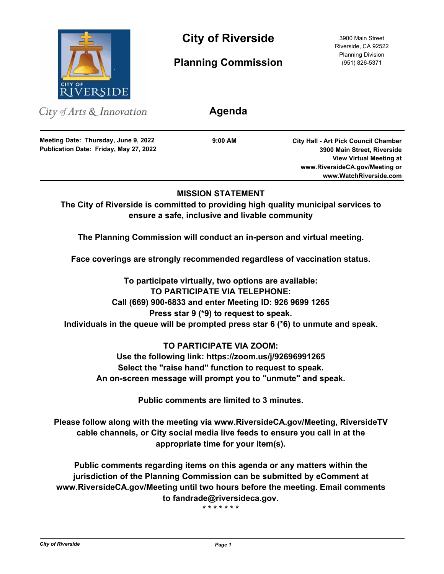

**City of Riverside** 3900 Main Street

**Planning Commission**

Riverside, CA 92522 Planning Division (951) 826-5371

City of Arts & Innovation

**Publication Date: Friday, May 27, 2022 Meeting Date: Thursday, June 9, 2022**

**9:00 AM**

**Agenda**

**City Hall - Art Pick Council Chamber 3900 Main Street, Riverside View Virtual Meeting at www.RiversideCA.gov/Meeting or www.WatchRiverside.com**

# **MISSION STATEMENT**

**The City of Riverside is committed to providing high quality municipal services to ensure a safe, inclusive and livable community**

**The Planning Commission will conduct an in-person and virtual meeting.** 

**Face coverings are strongly recommended regardless of vaccination status.**

**To participate virtually, two options are available: TO PARTICIPATE VIA TELEPHONE: Call (669) 900-6833 and enter Meeting ID: 926 9699 1265 Press star 9 (\*9) to request to speak. Individuals in the queue will be prompted press star 6 (\*6) to unmute and speak.**

# **TO PARTICIPATE VIA ZOOM:**

**Use the following link: https://zoom.us/j/92696991265 Select the "raise hand" function to request to speak. An on-screen message will prompt you to "unmute" and speak.**

**Public comments are limited to 3 minutes.**

**Please follow along with the meeting via www.RiversideCA.gov/Meeting, RiversideTV cable channels, or City social media live feeds to ensure you call in at the appropriate time for your item(s).** 

**Public comments regarding items on this agenda or any matters within the jurisdiction of the Planning Commission can be submitted by eComment at www.RiversideCA.gov/Meeting until two hours before the meeting. Email comments to fandrade@riversideca.gov.**

**\* \* \* \* \* \* \***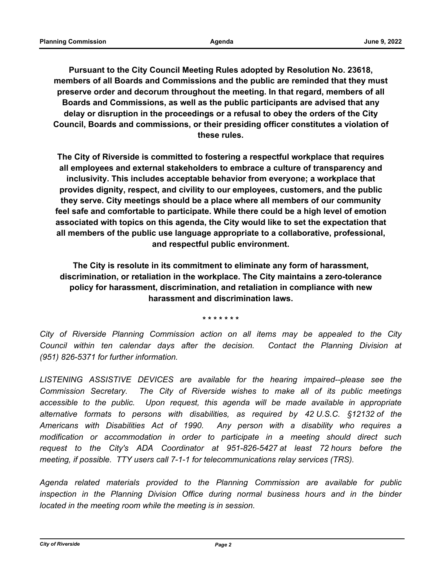**Pursuant to the City Council Meeting Rules adopted by Resolution No. 23618, members of all Boards and Commissions and the public are reminded that they must preserve order and decorum throughout the meeting. In that regard, members of all Boards and Commissions, as well as the public participants are advised that any delay or disruption in the proceedings or a refusal to obey the orders of the City Council, Boards and commissions, or their presiding officer constitutes a violation of these rules.**

**The City of Riverside is committed to fostering a respectful workplace that requires all employees and external stakeholders to embrace a culture of transparency and inclusivity. This includes acceptable behavior from everyone; a workplace that provides dignity, respect, and civility to our employees, customers, and the public they serve. City meetings should be a place where all members of our community feel safe and comfortable to participate. While there could be a high level of emotion associated with topics on this agenda, the City would like to set the expectation that all members of the public use language appropriate to a collaborative, professional, and respectful public environment.**

**The City is resolute in its commitment to eliminate any form of harassment, discrimination, or retaliation in the workplace. The City maintains a zero-tolerance policy for harassment, discrimination, and retaliation in compliance with new harassment and discrimination laws.**

**\* \* \* \* \* \* \***

*City of Riverside Planning Commission action on all items may be appealed to the City Council within ten calendar days after the decision. Contact the Planning Division at (951) 826-5371 for further information.*

*LISTENING ASSISTIVE DEVICES are available for the hearing impaired--please see the Commission Secretary. The City of Riverside wishes to make all of its public meetings accessible to the public. Upon request, this agenda will be made available in appropriate alternative formats to persons with disabilities, as required by 42 U.S.C. §12132 of the Americans with Disabilities Act of 1990. Any person with a disability who requires a modification or accommodation in order to participate in a meeting should direct such request to the City's ADA Coordinator at 951-826-5427 at least 72 hours before the meeting, if possible. TTY users call 7-1-1 for telecommunications relay services (TRS).*

*Agenda related materials provided to the Planning Commission are available for public*  inspection in the Planning Division Office during normal business hours and in the binder *located in the meeting room while the meeting is in session.*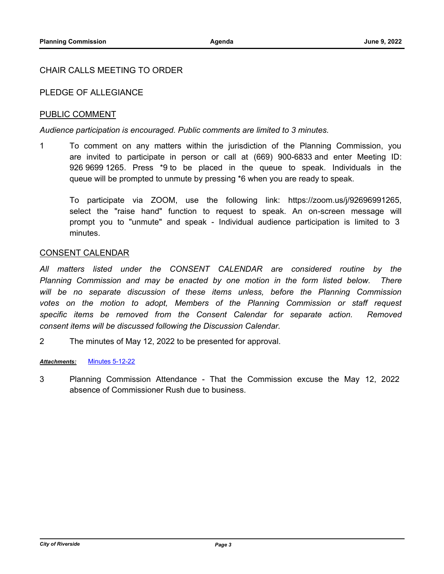## CHAIR CALLS MEETING TO ORDER

## PLEDGE OF ALLEGIANCE

## PUBLIC COMMENT

### *Audience participation is encouraged. Public comments are limited to 3 minutes.*

1 To comment on any matters within the jurisdiction of the Planning Commission, you are invited to participate in person or call at (669) 900-6833 and enter Meeting ID: 926 9699 1265. Press \*9 to be placed in the queue to speak. Individuals in the queue will be prompted to unmute by pressing \*6 when you are ready to speak.

To participate via ZOOM, use the following link: https://zoom.us/j/92696991265, select the "raise hand" function to request to speak. An on-screen message will prompt you to "unmute" and speak - Individual audience participation is limited to 3 minutes.

### CONSENT CALENDAR

*All matters listed under the CONSENT CALENDAR are considered routine by the Planning Commission and may be enacted by one motion in the form listed below. There will be no separate discussion of these items unless, before the Planning Commission votes on the motion to adopt, Members of the Planning Commission or staff request*  specific items be removed from the Consent Calendar for separate action. Removed *consent items will be discussed following the Discussion Calendar.*

2 The minutes of May 12, 2022 to be presented for approval.

#### *Attachments:* [Minutes 5-12-22](http://riversideca.legistar.com/gateway.aspx?M=F&ID=959c1f95-b531-4c88-af73-4a380a162122.pdf)

3 Planning Commission Attendance - That the Commission excuse the May 12, 2022 absence of Commissioner Rush due to business.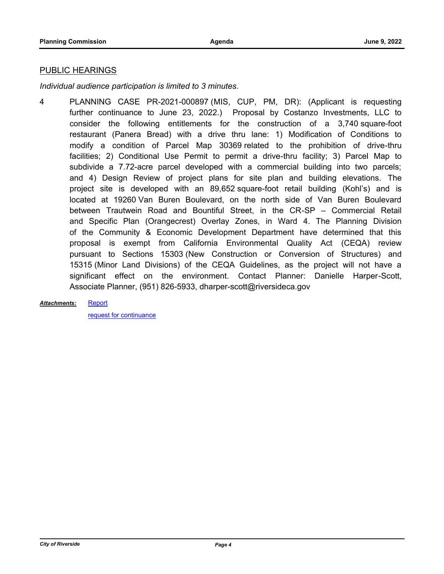#### PUBLIC HEARINGS

*Individual audience participation is limited to 3 minutes.*

4 PLANNING CASE PR-2021-000897 (MIS, CUP, PM, DR): (Applicant is requesting further continuance to June 23, 2022.) Proposal by Costanzo Investments, LLC to consider the following entitlements for the construction of a 3,740 square-foot restaurant (Panera Bread) with a drive thru lane: 1) Modification of Conditions to modify a condition of Parcel Map 30369 related to the prohibition of drive-thru facilities; 2) Conditional Use Permit to permit a drive-thru facility; 3) Parcel Map to subdivide a 7.72-acre parcel developed with a commercial building into two parcels; and 4) Design Review of project plans for site plan and building elevations. The project site is developed with an 89,652 square-foot retail building (Kohl's) and is located at 19260 Van Buren Boulevard, on the north side of Van Buren Boulevard between Trautwein Road and Bountiful Street, in the CR-SP – Commercial Retail and Specific Plan (Orangecrest) Overlay Zones, in Ward 4. The Planning Division of the Community & Economic Development Department have determined that this proposal is exempt from California Environmental Quality Act (CEQA) review pursuant to Sections 15303 (New Construction or Conversion of Structures) and 15315 (Minor Land Divisions) of the CEQA Guidelines, as the project will not have a significant effect on the environment. Contact Planner: Danielle Harper-Scott, Associate Planner, (951) 826-5933, dharper-scott@riversideca.gov

**[Report](http://riversideca.legistar.com/gateway.aspx?M=F&ID=0ad7264d-1ec6-4cd8-894b-85eeffa0ebdb.pdf)** *Attachments:*

[request for continuance](http://riversideca.legistar.com/gateway.aspx?M=F&ID=6d6ca390-20bb-4c42-8fc6-a81fe2b421c0.pdf)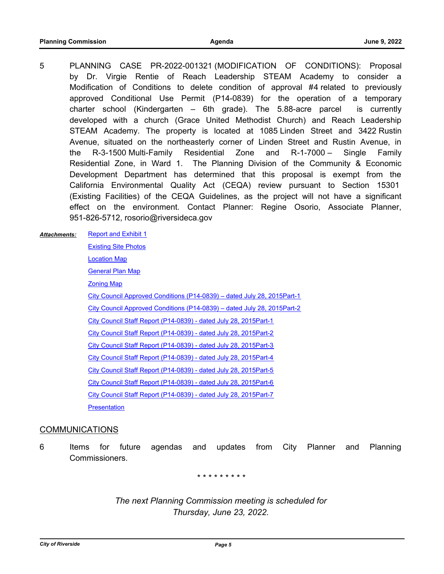5 PLANNING CASE PR-2022-001321 (MODIFICATION OF CONDITIONS): Proposal by Dr. Virgie Rentie of Reach Leadership STEAM Academy to consider a Modification of Conditions to delete condition of approval #4 related to previously approved Conditional Use Permit (P14-0839) for the operation of a temporary charter school (Kindergarten – 6th grade). The 5.88-acre parcel is currently developed with a church (Grace United Methodist Church) and Reach Leadership STEAM Academy. The property is located at 1085 Linden Street and 3422 Rustin Avenue, situated on the northeasterly corner of Linden Street and Rustin Avenue, in the R-3-1500 Multi-Family Residential Zone and R-1-7000 – Single Family Residential Zone, in Ward 1. The Planning Division of the Community & Economic Development Department has determined that this proposal is exempt from the California Environmental Quality Act (CEQA) review pursuant to Section 15301 (Existing Facilities) of the CEQA Guidelines, as the project will not have a significant effect on the environment. Contact Planner: Regine Osorio, Associate Planner, 951-826-5712, rosorio@riversideca.gov

#### [Report and Exhibit 1](http://riversideca.legistar.com/gateway.aspx?M=F&ID=79f8b197-e585-4fd4-8305-772eee34ca23.pdf) *Attachments:*

[Existing Site Photos](http://riversideca.legistar.com/gateway.aspx?M=F&ID=1c412626-5bb6-4fc0-9f05-76892ae82559.pdf) [Location Map](http://riversideca.legistar.com/gateway.aspx?M=F&ID=1e7b47b4-e786-4303-98a2-426c62b6b564.pdf) [General Plan Map](http://riversideca.legistar.com/gateway.aspx?M=F&ID=72f31f67-5657-481d-9bac-d5ccec13f4f1.pdf) [Zoning Map](http://riversideca.legistar.com/gateway.aspx?M=F&ID=c3138e25-c2a3-4fa8-92e2-f196bf24816e.pdf) [City Council Approved Conditions \(P14-0839\) – dated July 28, 2015Part-1](http://riversideca.legistar.com/gateway.aspx?M=F&ID=f96a8f9b-b5e9-4903-8c19-195c97694019.pdf) [City Council Approved Conditions \(P14-0839\) – dated July 28, 2015Part-2](http://riversideca.legistar.com/gateway.aspx?M=F&ID=1b6cd772-1143-4c19-914a-b99bac2e91b0.pdf) [City Council Staff Report \(P14-0839\) - dated July 28, 2015Part-1](http://riversideca.legistar.com/gateway.aspx?M=F&ID=e53257e8-8af8-4fc1-a995-5a151661833a.pdf) [City Council Staff Report \(P14-0839\) - dated July 28, 2015Part-2](http://riversideca.legistar.com/gateway.aspx?M=F&ID=4d7347a6-f038-4931-bb2c-589a6a17fc55.pdf) [City Council Staff Report \(P14-0839\) - dated July 28, 2015Part-3](http://riversideca.legistar.com/gateway.aspx?M=F&ID=eba3d90c-4894-4844-8554-3db53e459ad4.pdf) [City Council Staff Report \(P14-0839\) - dated July 28, 2015Part-4](http://riversideca.legistar.com/gateway.aspx?M=F&ID=30877b0f-5e91-4f8c-aedb-647525a5c61d.pdf) [City Council Staff Report \(P14-0839\) - dated July 28, 2015Part-5](http://riversideca.legistar.com/gateway.aspx?M=F&ID=be3b77ed-49f1-444b-996d-2ea5498887be.pdf) [City Council Staff Report \(P14-0839\) - dated July 28, 2015Part-6](http://riversideca.legistar.com/gateway.aspx?M=F&ID=f68a4005-3cab-4c86-b45a-b17cb7385e78.pdf) [City Council Staff Report \(P14-0839\) - dated July 28, 2015Part-7](http://riversideca.legistar.com/gateway.aspx?M=F&ID=e96deae9-4c93-4dce-bc7b-cb87143cd61b.pdf) **[Presentation](http://riversideca.legistar.com/gateway.aspx?M=F&ID=da287663-e86b-4146-b3c1-58481f7d02e2.pdf)** 

#### **COMMUNICATIONS**

6 Items for future agendas and updates from City Planner and Planning Commissioners.

*\* \* \* \* \* \* \* \* \**

*The next Planning Commission meeting is scheduled for Thursday, June 23, 2022.*